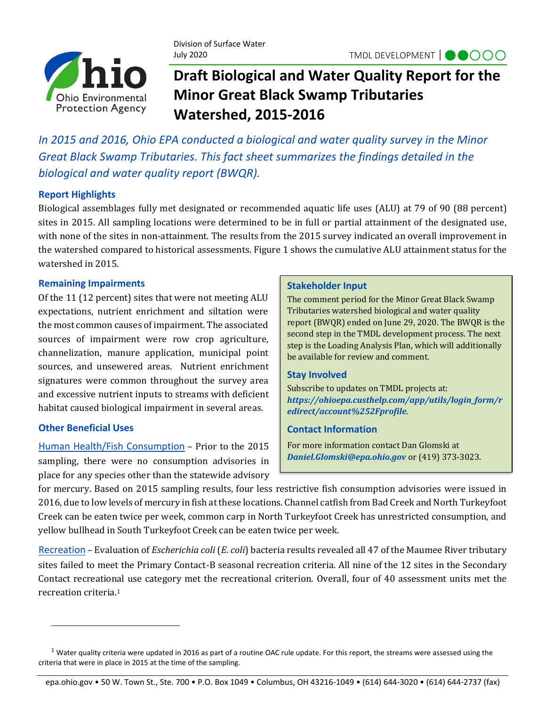

Division of Surface Water July 2020

# **Draft Biological and Water Quality Report for the Minor Great Black Swamp Tributaries Watershed, 2015-2016**

*In 2015 and 2016, Ohio EPA conducted a biological and water quality survey in the Minor Great Black Swamp Tributaries. This fact sheet summarizes the findings detailed in the biological and water quality report (BWQR).*

# **Report Highlights**

Biological assemblages fully met designated or recommended aquatic life uses (ALU) at 79 of 90 (88 percent) sites in 2015. All sampling locations were determined to be in full or partial attainment of the designated use, with none of the sites in non-attainment. The results from the 2015 survey indicated an overall improvement in the watershed compared to historical assessments. Figure 1 shows the cumulative ALU attainment status for the watershed in 2015.

## **Remaining Impairments**

Of the 11 (12 percent) sites that were not meeting ALU expectations, nutrient enrichment and siltation were the most common causes of impairment. The associated sources of impairment were row crop agriculture, channelization, manure application, municipal point sources, and unsewered areas. Nutrient enrichment signatures were common throughout the survey area and excessive nutrient inputs to streams with deficient habitat caused biological impairment in several areas.

# **Other Beneficial Uses**

Human Health/Fish Consumption – Prior to the 2015 sampling, there were no consumption advisories in place for any species other than the statewide advisory

#### **Stakeholder Input**

The comment period for the Minor Great Black Swamp Tributaries watershed biological and water quality report (BWQR) ended on June 29, 2020. The BWQR is the second step in the TMDL development process. The next step is the Loading Analysis Plan, which will additionally be available for review and comment.

### **Stay Involved**

Subscribe to updates on TMDL projects at: *[https://ohioepa.custhelp.com/app/utils/login\\_form/r](https://ohioepa.custhelp.com/app/utils/login_form/redirect/account%252Fprofile) [edirect/account%252Fprofile](https://ohioepa.custhelp.com/app/utils/login_form/redirect/account%252Fprofile)*.

### **Contact Information**

For more information contact Dan Glomski at *Daniel.Glomski@epa.ohio.gov* or (419) 373-3023.

for mercury. Based on 2015 sampling results, four less restrictive fish consumption advisories were issued in 2016, due to low levels of mercury in fish at these locations. Channel catfish from Bad Creek and North Turkeyfoot Creek can be eaten twice per week, common carp in North Turkeyfoot Creek has unrestricted consumption, and yellow bullhead in South Turkeyfoot Creek can be eaten twice per week.

Recreation – Evaluation of *Escherichia coli* (*E. coli*) bacteria results revealed all 47 of the Maumee River tributary sites failed to meet the Primary Contact-B seasonal recreation criteria. All nine of the 12 sites in the Secondary Contact recreational use category met the recreational criterion. Overall, four of 40 assessment units met the recreation criteria. 1

 $1$  Water quality criteria were updated in 2016 as part of a routine OAC rule update. For this report, the streams were assessed using the criteria that were in place in 2015 at the time of the sampling.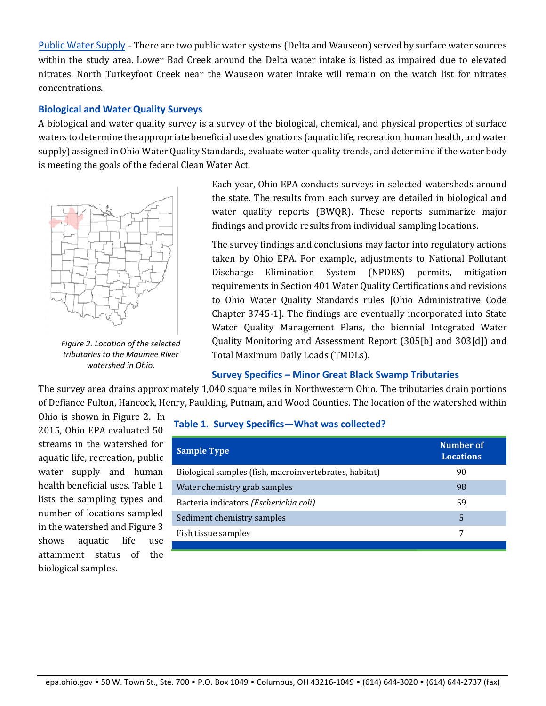Public Water Supply – There are two public water systems (Delta and Wauseon) served by surface water sources within the study area. Lower Bad Creek around the Delta water intake is listed as impaired due to elevated nitrates. North Turkeyfoot Creek near the Wauseon water intake will remain on the watch list for nitrates concentrations.

#### **Biological and Water Quality Surveys**

A biological and water quality survey is a survey of the biological, chemical, and physical properties of surface waters to determine the appropriate beneficial use designations (aquatic life, recreation, human health, and water supply) assigned in Ohio Water Quality Standards, evaluate water quality trends, and determine if the water body is meeting the goals of the federal Clean Water Act.



*Figure 2. Location of the selected tributaries to the Maumee River watershed in Ohio.*

Each year, Ohio EPA conducts surveys in selected watersheds around the state. The results from each survey are detailed in biological and water quality reports (BWQR). These reports summarize major findings and provide results from individual sampling locations.

The survey findings and conclusions may factor into regulatory actions taken by Ohio EPA. For example, adjustments to National Pollutant Discharge Elimination System (NPDES) permits, mitigation requirements in Section 401 Water Quality Certifications and revisions to Ohio Water Quality Standards rules [Ohio Administrative Code Chapter 3745-1]. The findings are eventually incorporated into State Water Quality Management Plans, the biennial Integrated Water Quality Monitoring and Assessment Report (305[b] and 303[d]) and Total Maximum Daily Loads (TMDLs).

### **Survey Specifics – Minor Great Black Swamp Tributaries**

The survey area drains approximately 1,040 square miles in Northwestern Ohio. The tributaries drain portions of Defiance Fulton, Hancock, Henry, Paulding, Putnam, and Wood Counties. The location of the watershed within

Ohio is shown in Figure 2. In 2015, Ohio EPA evaluated 50 streams in the watershed for aquatic life, recreation, public water supply and human health beneficial uses. Table 1 lists the sampling types and number of locations sampled in the watershed and Figure 3 shows aquatic life use attainment status of the biological samples.

| <b>Sample Type</b>                                     | Number of<br><b>Locations</b> |
|--------------------------------------------------------|-------------------------------|
| Biological samples (fish, macroinvertebrates, habitat) | 90                            |
| Water chemistry grab samples                           | 98                            |
| Bacteria indicators (Escherichia coli)                 | 59                            |
| Sediment chemistry samples                             | 5                             |
| Fish tissue samples                                    |                               |
|                                                        |                               |

### **Table 1. Survey Specifics—What was collected?**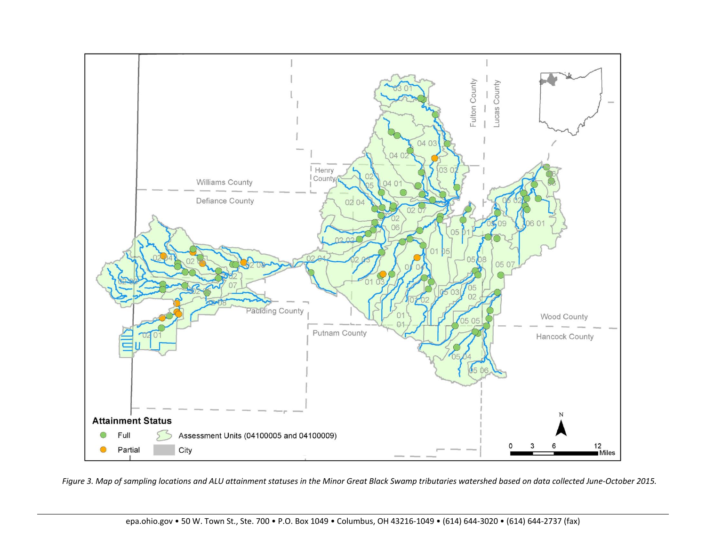

*Figure 3. Map of sampling locations and ALU attainment statuses in the Minor Great Black Swamp tributaries watershed based on data collected June-October 2015.*